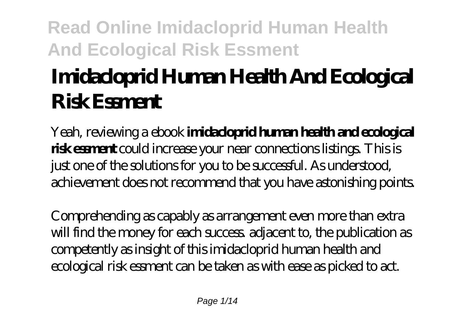# **Imidacloprid Human Health And Ecological Risk Essment**

Yeah, reviewing a ebook **imidacloprid human health and ecological risk essment** could increase your near connections listings. This is just one of the solutions for you to be successful. As understood, achievement does not recommend that you have astonishing points.

Comprehending as capably as arrangement even more than extra will find the money for each success adjacent to, the publication as competently as insight of this imidacloprid human health and ecological risk essment can be taken as with ease as picked to act.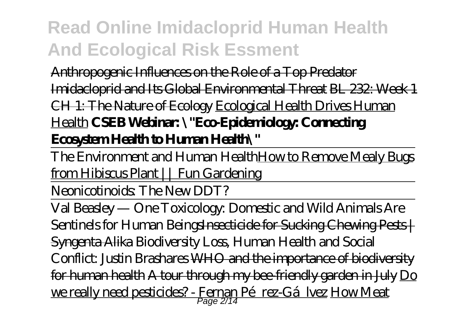Anthropogenic Influences on the Role of a Top Predator Imidacloprid and Its Global Environmental Threat BL 232: Week 1 CH 1: The Nature of Ecology Ecological Health Drives Human Health **CSEB Webinar: \"Eco-Epidemiology: Connecting Ecosystem Health to Human Health\"**

The Environment and Human Health How to Remove Mealy Bugs from Hibiscus Plant || Fun Gardening

Neonicotinoids: The New DDT?

Val Beasley — One Toxicology: Domestic and Wild Animals Are Sentinels for Human BeingsInsecticide for Sucking Chewing Pests | Syngenta Alika *Biodiversity Loss, Human Health and Social Conflict: Justin Brashares* WHO and the importance of biodiversity for human health A tour through my bee-friendly garden in July Do <u>we really need pesticides? - Fernan Pérez-Gárlvez How Meat</u>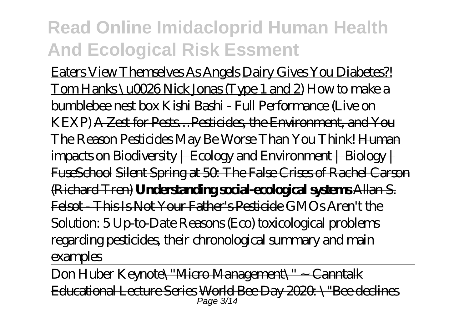Eaters View Themselves As Angels Dairy Gives You Diabetes?! Tom Hanks \u0026 Nick Jonas (Type 1 and 2) *How to make a bumblebee nest box Kishi Bashi - Full Performance (Live on KEXP)* A Zest for Pests…Pesticides, the Environment, and You The Reason Pesticides May Be Worse Than You Think! Human  $im$ pacts on Biodiversity | Ecology and Environment | Biology | FuseSchool Silent Spring at 50: The False Crises of Rachel Carson (Richard Tren) **Understanding social-ecological systems** Allan S. Felsot - This Is Not Your Father's Pesticide *GMOs Aren't the Solution: 5 Up-to-Date Reasons* (Eco) toxicological problems regarding pesticides, their chronological summary and main examples

Don Huber Keynote\"Micro Management\" ~ Canntalk E<del>ducational Lecture Series World Bee Day 2020 \"Bee declines</del><br>Page 3/14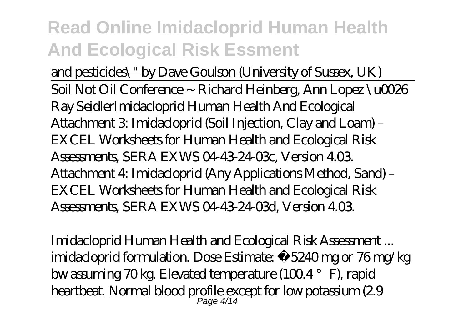and pesticides\" by Dave Goulson (University of Sussex, UK) Soil Not Oil Conference ~ Richard Heinberg, Ann Lopez \u0026 Ray Seidler*Imidacloprid Human Health And Ecological* Attachment 3: Imidacloprid (Soil Injection, Clay and Loam) – EXCEL Worksheets for Human Health and Ecological Risk Assessments, SERA EXWS 04-43-24-03c, Version 4.03. Attachment 4: Imidacloprid (Any Applications Method, Sand) – EXCEL Worksheets for Human Health and Ecological Risk Assessments, SERA EXWS 04-43-24-03d, Version 4.03.

*Imidacloprid Human Health and Ecological Risk Assessment ...* imidacloprid formulation. Dose Estimate: ≈5240 mg or 76 mg/kg bw assuming 70 kg. Elevated temperature (100.4  $\degree$  F), rapid heartbeat. Normal blood profile except for low potassium (2.9 Page 4/14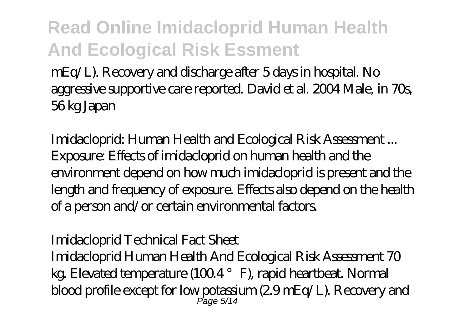mEq/L). Recovery and discharge after 5 days in hospital. No aggressive supportive care reported. David et al. 2004 Male, in 70s, 56 kg Japan

*Imidacloprid: Human Health and Ecological Risk Assessment ...* Exposure: Effects of imidacloprid on human health and the environment depend on how much imidacloprid is present and the length and frequency of exposure. Effects also depend on the health of a person and/or certain environmental factors.

### *Imidacloprid Technical Fact Sheet*

Imidacloprid Human Health And Ecological Risk Assessment 70 kg. Elevated temperature (1004 $^{\circ}$  F), rapid heartbeat. Normal blood profile except for low potassium (2.9 mEq/L). Recovery and Page 5/14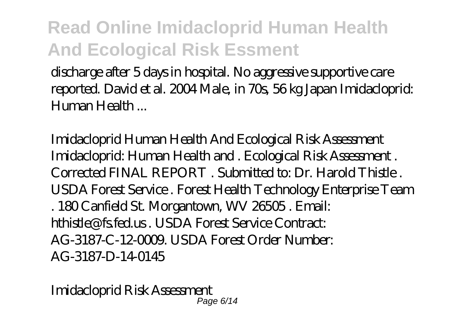discharge after 5 days in hospital. No aggressive supportive care reported. David et al. 2004 Male, in 70s, 56 kg Japan Imidacloprid: Human Health ...

*Imidacloprid Human Health And Ecological Risk Assessment* Imidacloprid: Human Health and . Ecological Risk Assessment . Corrected FINAL REPORT . Submitted to: Dr. Harold Thistle . USDA Forest Service . Forest Health Technology Enterprise Team . 180 Canfield St. Morgantown, WV 26505 . Email: hthistle@fs.fed.us . USDA Forest Service Contract: AG-3187-C-12-0009. USDA Forest Order Number: AG-3187-D-14-0145

*Imidacloprid Risk Assessment* Page 6/14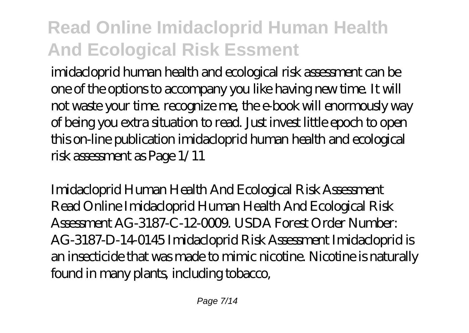imidacloprid human health and ecological risk assessment can be one of the options to accompany you like having new time. It will not waste your time. recognize me, the e-book will enormously way of being you extra situation to read. Just invest little epoch to open this on-line publication imidacloprid human health and ecological risk assessment as Page 1/11

*Imidacloprid Human Health And Ecological Risk Assessment* Read Online Imidacloprid Human Health And Ecological Risk Assessment AG-3187-C-12-0009. USDA Forest Order Number: AG-3187-D-14-0145 Imidacloprid Risk Assessment Imidacloprid is an insecticide that was made to mimic nicotine. Nicotine is naturally found in many plants, including tobacco,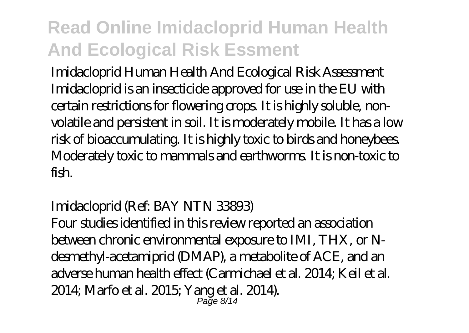*Imidacloprid Human Health And Ecological Risk Assessment* Imidacloprid is an insecticide approved for use in the EU with certain restrictions for flowering crops. It is highly soluble, nonvolatile and persistent in soil. It is moderately mobile. It has a low risk of bioaccumulating. It is highly toxic to birds and honeybees. Moderately toxic to mammals and earthworms. It is non-toxic to fish.

### *Imidacloprid (Ref: BAY NTN 33893)*

Four studies identified in this review reported an association between chronic environmental exposure to IMI, THX, or Ndesmethyl-acetamiprid (DMAP), a metabolite of ACE, and an adverse human health effect (Carmichael et al. 2014; Keil et al. 2014; Marfo et al. 2015; Yang et al. 2014). Page 8/14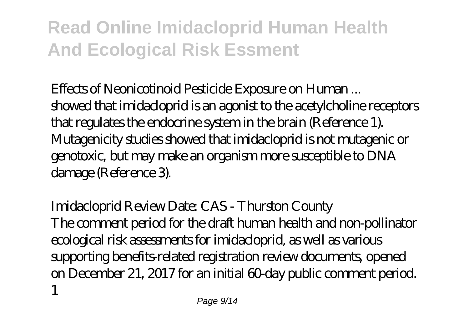### *Effects of Neonicotinoid Pesticide Exposure on Human ...*

showed that imidacloprid is an agonist to the acetylcholine receptors that regulates the endocrine system in the brain (Reference 1). Mutagenicity studies showed that imidacloprid is not mutagenic or genotoxic, but may make an organism more susceptible to DNA damage (Reference 3).

## *Imidacloprid Review Date: CAS - Thurston County* The comment period for the draft human health and non-pollinator ecological risk assessments for imidacloprid, as well as various supporting benefits-related registration review documents, opened on December 21, 2017 for an initial 60-day public comment period. 1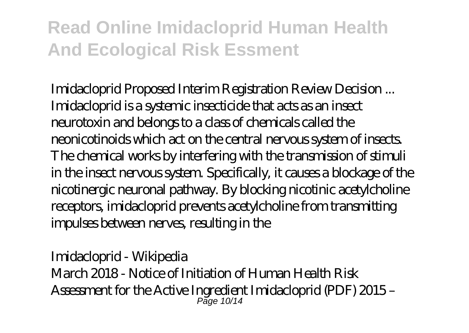*Imidacloprid Proposed Interim Registration Review Decision ...* Imidacloprid is a systemic insecticide that acts as an insect neurotoxin and belongs to a class of chemicals called the neonicotinoids which act on the central nervous system of insects. The chemical works by interfering with the transmission of stimuli in the insect nervous system. Specifically, it causes a blockage of the nicotinergic neuronal pathway. By blocking nicotinic acetylcholine receptors, imidacloprid prevents acetylcholine from transmitting impulses between nerves, resulting in the

### *Imidacloprid - Wikipedia*

March 2018 - Notice of Initiation of Human Health Risk Assessment for the Active Ingredient Imidacloprid (PDF) 2015 – Page 10/14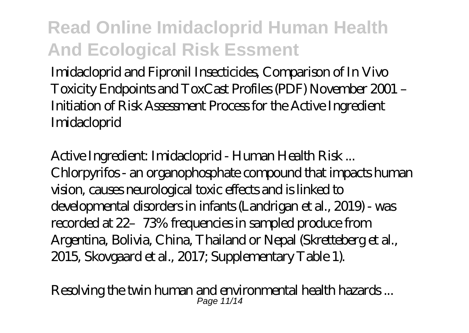Imidacloprid and Fipronil Insecticides, Comparison of In Vivo Toxicity Endpoints and ToxCast Profiles (PDF) November 2001 – Initiation of Risk Assessment Process for the Active Ingredient Imidacloprid

*Active Ingredient: Imidacloprid - Human Health Risk ...* Chlorpyrifos - an organophosphate compound that impacts human vision, causes neurological toxic effects and is linked to developmental disorders in infants (Landrigan et al., 2019) - was recorded at 22–73% frequencies in sampled produce from Argentina, Bolivia, China, Thailand or Nepal (Skretteberg et al., 2015, Skovgaard et al., 2017; Supplementary Table 1).

*Resolving the twin human and environmental health hazards ...* Page 11/14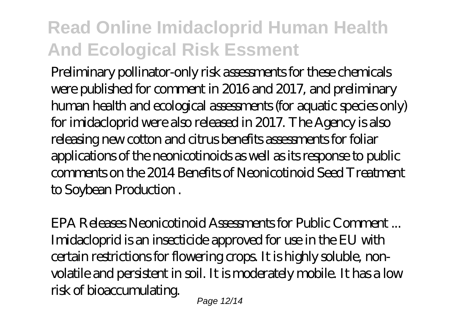Preliminary pollinator-only risk assessments for these chemicals were published for comment in 2016 and 2017, and preliminary human health and ecological assessments (for aquatic species only) for imidacloprid were also released in 2017. The Agency is also releasing new cotton and citrus benefits assessments for foliar applications of the neonicotinoids as well as its response to public comments on the 2014 Benefits of Neonicotinoid Seed Treatment to Soybean Production .

*EPA Releases Neonicotinoid Assessments for Public Comment ...* Imidacloprid is an insecticide approved for use in the EU with certain restrictions for flowering crops. It is highly soluble, nonvolatile and persistent in soil. It is moderately mobile. It has a low risk of bioaccumulating.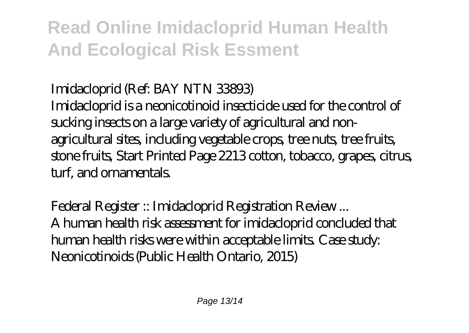### *Imidacloprid (Ref: BAY NTN 33893)*

Imidacloprid is a neonicotinoid insecticide used for the control of sucking insects on a large variety of agricultural and nonagricultural sites, including vegetable crops, tree nuts, tree fruits, stone fruits, Start Printed Page 2213 cotton, tobacco, grapes, citrus, turf, and ornamentals.

*Federal Register :: Imidacloprid Registration Review ...* A human health risk assessment for imidacloprid concluded that human health risks were within acceptable limits. Case study: Neonicotinoids (Public Health Ontario, 2015)